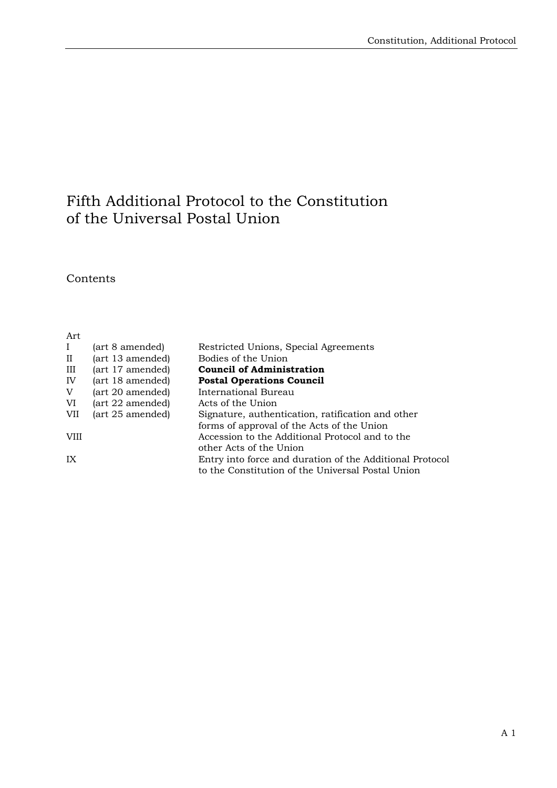## Fifth Additional Protocol to the Constitution of the Universal Postal Union

**Contents** 

| Art         |                  |                                                          |
|-------------|------------------|----------------------------------------------------------|
| $\bf{I}$    | (art 8 amended)  | Restricted Unions, Special Agreements                    |
| $_{\rm II}$ | (art 13 amended) | Bodies of the Union                                      |
| Ш           | (art 17 amended) | <b>Council of Administration</b>                         |
| IV          | (art 18 amended) | <b>Postal Operations Council</b>                         |
| V           | (art 20 amended) | International Bureau                                     |
| VI          | (art 22 amended) | Acts of the Union                                        |
| VII         | (art 25 amended) | Signature, authentication, ratification and other        |
|             |                  | forms of approval of the Acts of the Union               |
| <b>VIII</b> |                  | Accession to the Additional Protocol and to the          |
|             |                  | other Acts of the Union                                  |
| IX          |                  | Entry into force and duration of the Additional Protocol |
|             |                  | to the Constitution of the Universal Postal Union        |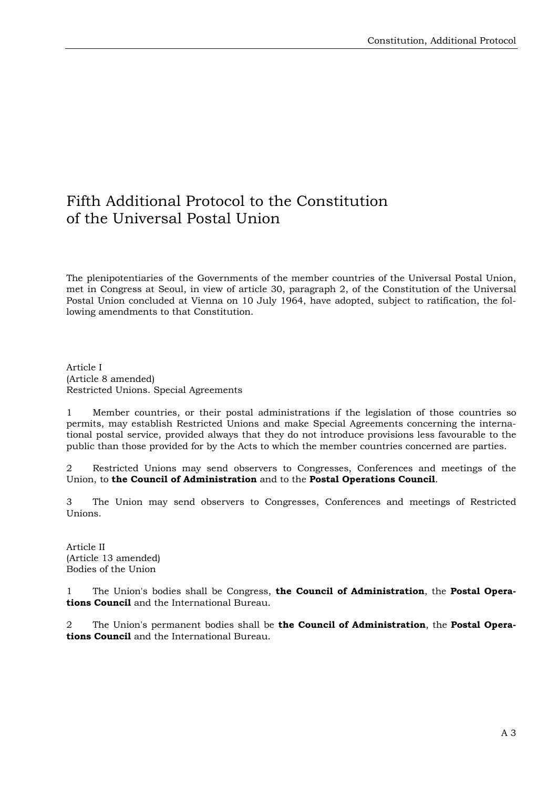## Fifth Additional Protocol to the Constitution of the Universal Postal Union

The plenipotentiaries of the Governments of the member countries of the Universal Postal Union, met in Congress at Seoul, in view of article 30, paragraph 2, of the Constitution of the Universal Postal Union concluded at Vienna on 10 July 1964, have adopted, subject to ratification, the following amendments to that Constitution.

Article I (Article 8 amended) Restricted Unions. Special Agreements

1 Member countries, or their postal administrations if the legislation of those countries so permits, may establish Restricted Unions and make Special Agreements concerning the international postal service, provided always that they do not introduce provisions less favourable to the public than those provided for by the Acts to which the member countries concerned are parties.

2 Restricted Unions may send observers to Congresses, Conferences and meetings of the Union, to **the Council of Administration** and to the **Postal Operations Council**.

3 The Union may send observers to Congresses, Conferences and meetings of Restricted Unions.

Article II (Article 13 amended) Bodies of the Union

1 The Union's bodies shall be Congress, **the Council of Administration**, the **Postal Operations Council** and the International Bureau.

2 The Union's permanent bodies shall be **the Council of Administration**, the **Postal Operations Council** and the International Bureau.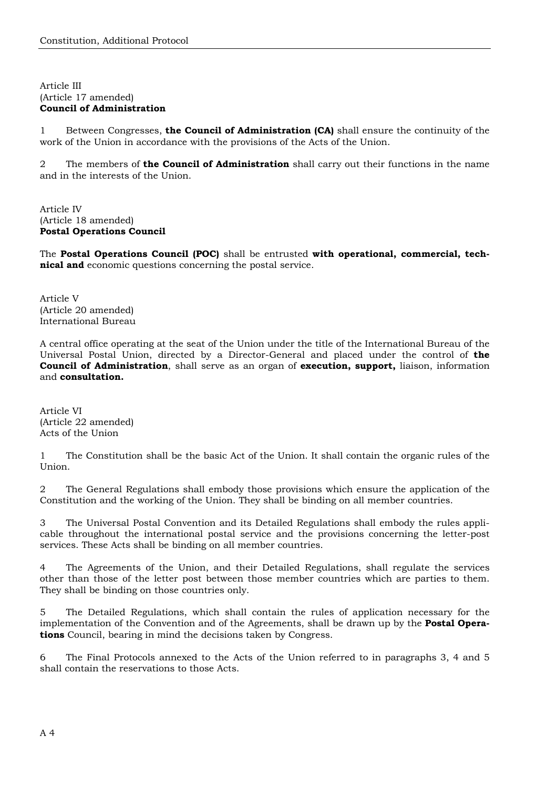## Article III (Article 17 amended) **Council of Administration**

1 Between Congresses, **the Council of Administration (CA)** shall ensure the continuity of the work of the Union in accordance with the provisions of the Acts of the Union.

2 The members of **the Council of Administration** shall carry out their functions in the name and in the interests of the Union.

Article IV (Article 18 amended) **Postal Operations Council** 

The **Postal Operations Council (POC)** shall be entrusted **with operational, commercial, technical and** economic questions concerning the postal service.

Article V (Article 20 amended) International Bureau

A central office operating at the seat of the Union under the title of the International Bureau of the Universal Postal Union, directed by a Director-General and placed under the control of **the Council of Administration**, shall serve as an organ of **execution, support,** liaison, information and **consultation.**

Article VI (Article 22 amended) Acts of the Union

1 The Constitution shall be the basic Act of the Union. It shall contain the organic rules of the Union.

2 The General Regulations shall embody those provisions which ensure the application of the Constitution and the working of the Union. They shall be binding on all member countries.

3 The Universal Postal Convention and its Detailed Regulations shall embody the rules applicable throughout the international postal service and the provisions concerning the letter-post services. These Acts shall be binding on all member countries.

4 The Agreements of the Union, and their Detailed Regulations, shall regulate the services other than those of the letter post between those member countries which are parties to them. They shall be binding on those countries only.

5 The Detailed Regulations, which shall contain the rules of application necessary for the implementation of the Convention and of the Agreements, shall be drawn up by the **Postal Operations** Council, bearing in mind the decisions taken by Congress.

6 The Final Protocols annexed to the Acts of the Union referred to in paragraphs 3, 4 and 5 shall contain the reservations to those Acts.